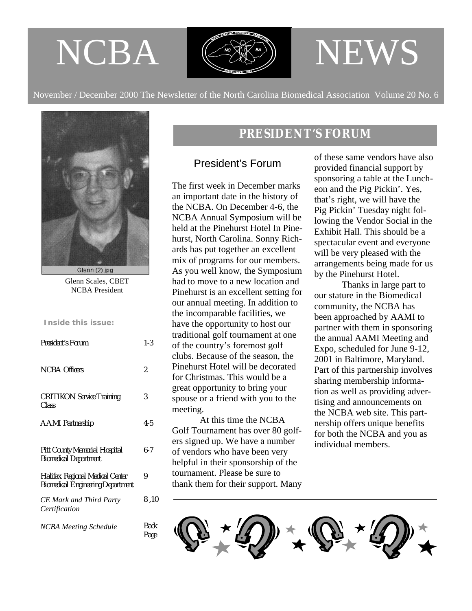# NCBA



# NEWS

November / December 2000 The Newsletter of the North Carolina Biomedical Association Volume 20 No. 6



Glenn Scales, CBET NCBA President

# **Inside this issue:**

| <b>President's Forum</b>                                                    | $1 - 3$      |
|-----------------------------------------------------------------------------|--------------|
| NCBA Officers                                                               | 2            |
| <b>CRITIKON Service Training</b><br>Class                                   | 3            |
| <b>AAMI</b> Partnership                                                     | $4 - 5$      |
| Pitt County Memorial Hospital<br><b>Biomedical Department</b>               | 6-7          |
| Halifax Regional Medical Center<br><b>Biomedical Engineering Department</b> | 9            |
| <b>CE Mark and Third Party</b><br>Certification                             | 8.10         |
| <b>NCBA Meeting Schedule</b>                                                | Back<br>Page |

# *PRESIDENT'S FORUM*

# President's Forum

The first week in December marks an important date in the history of the NCBA. On December 4-6, the NCBA Annual Symposium will be held at the Pinehurst Hotel In Pinehurst, North Carolina. Sonny Richards has put together an excellent mix of programs for our members. As you well know, the Symposium had to move to a new location and Pinehurst is an excellent setting for our annual meeting. In addition to the incomparable facilities, we have the opportunity to host our traditional golf tournament at one of the country's foremost golf clubs. Because of the season, the Pinehurst Hotel will be decorated for Christmas. This would be a great opportunity to bring your spouse or a friend with you to the meeting.

 At this time the NCBA Golf Tournament has over 80 golfers signed up. We have a number of vendors who have been very helpful in their sponsorship of the tournament. Please be sure to thank them for their support. Many

of these same vendors have also provided financial support by sponsoring a table at the Luncheon and the Pig Pickin'. Yes, that's right, we will have the Pig Pickin' Tuesday night following the Vendor Social in the Exhibit Hall. This should be a spectacular event and everyone will be very pleased with the arrangements being made for us by the Pinehurst Hotel.

 Thanks in large part to our stature in the Biomedical community, the NCBA has been approached by AAMI to partner with them in sponsoring the annual AAMI Meeting and Expo, scheduled for June 9-12, 2001 in Baltimore, Maryland. Part of this partnership involves sharing membership information as well as providing advertising and announcements on the NCBA web site. This partnership offers unique benefits for both the NCBA and you as individual members.

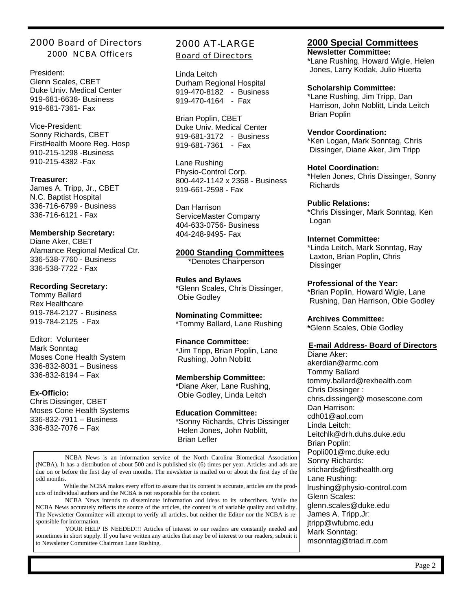# 2000 Board of Directors 2000 NCBA Officers

President: Glenn Scales, CBET Duke Univ. Medical Center 919-681-6638- Business 919-681-7361- Fax

Vice-President: Sonny Richards, CBET FirstHealth Moore Reg. Hosp 910-215-1298 -Business 910-215-4382 -Fax

#### **Treasurer:**

James A. Tripp, Jr., CBET N.C. Baptist Hospital 336-716-6799 - Business 336-716-6121 - Fax

# **Membership Secretary:**

Diane Aker, CBET Alamance Regional Medical Ctr. 336-538-7760 - Business 336-538-7722 - Fax

#### **Recording Secretary:**

Tommy Ballard Rex Healthcare 919-784-2127 - Business 919-784-2125 - Fax

Editor: Volunteer Mark Sonntag Moses Cone Health System 336-832-8031 – Business 336-832-8194 – Fax

# **Ex-Officio:**

Chris Dissinger, CBET Moses Cone Health Systems 336-832-7911 – Business 336-832-7076 – Fax

# 2000 AT-LARGE

Board of Directors

Linda Leitch Durham Regional Hospital 919-470-8182 - Business 919-470-4164 - Fax

Brian Poplin, CBET Duke Univ. Medical Center 919-681-3172 - Business 919-681-7361 - Fax

Lane Rushing Physio-Control Corp. 800-442-1142 x 2368 - Business 919-661-2598 - Fax

Dan Harrison ServiceMaster Company 404-633-0756- Business 404-248-9495- Fax

#### **2000 Standing Committees**

\*Denotes Chairperson

**Rules and Bylaws** \*Glenn Scales, Chris Dissinger, Obie Godley

**Nominating Committee:** \*Tommy Ballard, Lane Rushing

# **Finance Committee:**

\*Jim Tripp, Brian Poplin, Lane Rushing, John Noblitt

# **Membership Committee:**

\*Diane Aker, Lane Rushing, Obie Godley, Linda Leitch

# **Education Committee:**

\*Sonny Richards, Chris Dissinger Helen Jones, John Noblitt, Brian Lefler

 NCBA News is an information service of the North Carolina Biomedical Association (NCBA). It has a distribution of about 500 and is published six (6) times per year. Articles and ads are due on or before the first day of even months. The newsletter is mailed on or about the first day of the odd months.

 While the NCBA makes every effort to assure that its content is accurate, articles are the products of individual authors and the NCBA is not responsible for the content.

 NCBA News intends to disseminate information and ideas to its subscribers. While the NCBA News accurately reflects the source of the articles, the content is of variable quality and validity. The Newsletter Committee will attempt to verify all articles, but neither the Editor nor the NCBA is responsible for information.

 YOUR HELP IS NEEDED!!! Articles of interest to our readers are constantly needed and sometimes in short supply. If you have written any articles that may be of interest to our readers, submit it to Newsletter Committee Chairman Lane Rushing.

# **2000 Special Committees Newsletter Committee:**

\*Lane Rushing, Howard Wigle, Helen Jones, Larry Kodak, Julio Huerta

#### **Scholarship Committee:**

\*Lane Rushing, Jim Tripp, Dan Harrison, John Noblitt, Linda Leitch Brian Poplin

#### **Vendor Coordination:**

\*Ken Logan, Mark Sonntag, Chris Dissinger, Diane Aker, Jim Tripp

#### **Hotel Coordination:**

\*Helen Jones, Chris Dissinger, Sonny Richards

# **Public Relations:**

\*Chris Dissinger, Mark Sonntag, Ken Logan

#### **Internet Committee:**

\*Linda Leitch, Mark Sonntag, Ray Laxton, Brian Poplin, Chris **Dissinger** 

# **Professional of the Year:**

\*Brian Poplin, Howard Wigle, Lane Rushing, Dan Harrison, Obie Godley

**Archives Committee:**

**\***Glenn Scales, Obie Godley

# **E-mail Address- Board of Directors**

Diane Aker: akerdian@armc.com Tommy Ballard tommy.ballard@rexhealth.com Chris Dissinger : chris.dissinger@ mosescone.com Dan Harrison: cdh01@aol.com Linda Leitch: Leitchlk@drh.duhs.duke.edu Brian Poplin: Popli001@mc.duke.edu Sonny Richards: srichards@firsthealth.org Lane Rushing: lrushing@physio-control.com Glenn Scales: glenn.scales@duke.edu James A. Tripp,Jr: jtripp@wfubmc.edu Mark Sonntag: msonntag@triad.rr.com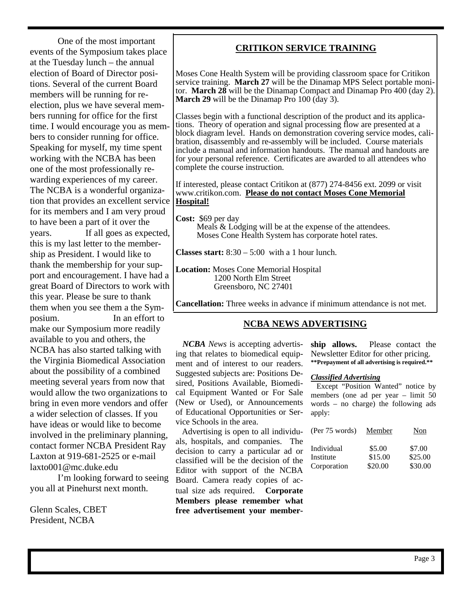One of the most important events of the Symposium takes place at the Tuesday lunch – the annual election of Board of Director positions. Several of the current Board members will be running for reelection, plus we have several members running for office for the first time. I would encourage you as members to consider running for office. Speaking for myself, my time spent working with the NCBA has been one of the most professionally rewarding experiences of my career. The NCBA is a wonderful organization that provides an excellent service for its members and I am very proud to have been a part of it over the years. If all goes as expected, this is my last letter to the membership as President. I would like to thank the membership for your support and encouragement. I have had a great Board of Directors to work with this year. Please be sure to thank them when you see them a the Symposium. In an effort to make our Symposium more readily available to you and others, the NCBA has also started talking with the Virginia Biomedical Association about the possibility of a combined meeting several years from now that would allow the two organizations to bring in even more vendors and offer a wider selection of classes. If you have ideas or would like to become involved in the preliminary planning, contact former NCBA President Ray Laxton at 919-681-2525 or e-mail

laxto001@mc.duke.edu I'm looking forward to seeing you all at Pinehurst next month.

Glenn Scales, CBET President, NCBA

# **CRITIKON SERVICE TRAINING**

Moses Cone Health System will be providing classroom space for Critikon service training. **March 27** will be the Dinamap MPS Select portable monitor. **March 28** will be the Dinamap Compact and Dinamap Pro 400 (day 2). **March 29** will be the Dinamap Pro 100 (day 3).

Classes begin with a functional description of the product and its applications. Theory of operation and signal processing flow are presented at a block diagram level. Hands on demonstration covering service modes, calibration, disassembly and re-assembly will be included. Course materials include a manual and information handouts. The manual and handouts are for your personal reference. Certificates are awarded to all attendees who complete the course instruction.

If interested, please contact Critikon at (877) 274-8456 ext. 2099 or visit www.critikon.com. **Please do not contact Moses Cone Memorial Hospital!**

**Cost:** \$69 per day Meals & Lodging will be at the expense of the attendees. Moses Cone Health System has corporate hotel rates.

**Classes start:**  $8:30 - 5:00$  with a 1 hour lunch.

**Location:** Moses Cone Memorial Hospital 1200 North Elm Street Greensboro, NC 27401

**Cancellation:** Three weeks in advance if minimum attendance is not met.

# **NCBA NEWS ADVERTISING**

 *NCBA News* is accepting advertising that relates to biomedical equipment and of interest to our readers. Suggested subjects are: Positions Desired, Positions Available, Biomedical Equipment Wanted or For Sale (New or Used), or Announcements of Educational Opportunities or Service Schools in the area.

 Advertising is open to all individuals, hospitals, and companies. The decision to carry a particular ad or classified will be the decision of the Editor with support of the NCBA Board. Camera ready copies of actual size ads required. **Corporate Members please remember what free advertisement your member-** **ship allows.** Please contact the Newsletter Editor for other pricing. **\*\*Prepayment of all advertising is required.\*\***

#### *Classified Advertising*

 Except "Position Wanted" notice by members (one ad per year – limit 50 words – no charge) the following ads apply:

| (Per 75 words) | Member  | Non     |
|----------------|---------|---------|
| Individual     | \$5.00  | \$7.00  |
| Institute      | \$15.00 | \$25.00 |
| Corporation    | \$20.00 | \$30.00 |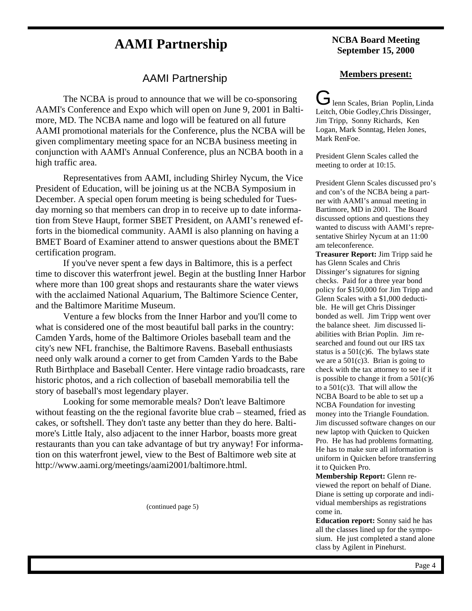# **AAMI Partnership NCBA Board Meeting**

# AAMI Partnership

 The NCBA is proud to announce that we will be co-sponsoring AAMI's Conference and Expo which will open on June 9, 2001 in Baltimore, MD. The NCBA name and logo will be featured on all future AAMI promotional materials for the Conference, plus the NCBA will be given complimentary meeting space for an NCBA business meeting in conjunction with AAMI's Annual Conference, plus an NCBA booth in a high traffic area.

 Representatives from AAMI, including Shirley Nycum, the Vice President of Education, will be joining us at the NCBA Symposium in December. A special open forum meeting is being scheduled for Tuesday morning so that members can drop in to receive up to date information from Steve Haupt, former SBET President, on AAMI's renewed efforts in the biomedical community. AAMI is also planning on having a BMET Board of Examiner attend to answer questions about the BMET certification program.

If you've never spent a few days in Baltimore, this is a perfect time to discover this waterfront jewel. Begin at the bustling Inner Harbor where more than 100 great shops and restaurants share the water views with the acclaimed National Aquarium, The Baltimore Science Center, and the Baltimore Maritime Museum.

 Venture a few blocks from the Inner Harbor and you'll come to what is considered one of the most beautiful ball parks in the country: Camden Yards, home of the Baltimore Orioles baseball team and the city's new NFL franchise, the Baltimore Ravens. Baseball enthusiasts need only walk around a corner to get from Camden Yards to the Babe Ruth Birthplace and Baseball Center. Here vintage radio broadcasts, rare historic photos, and a rich collection of baseball memorabilia tell the story of baseball's most legendary player.

 Looking for some memorable meals? Don't leave Baltimore without feasting on the the regional favorite blue crab – steamed, fried as cakes, or softshell. They don't taste any better than they do here. Baltimore's Little Italy, also adjacent to the inner Harbor, boasts more great restaurants than you can take advantage of but try anyway! For information on this waterfront jewel, view to the Best of Baltimore web site at http://www.aami.org/meetings/aami2001/baltimore.html.

(continued page 5)

# **September 15, 2000**

# **Members present:**

Jenn Scales, Brian Poplin, Linda Leitch, Obie Godley,Chris Dissinger, Jim Tripp, Sonny Richards, Ken Logan, Mark Sonntag, Helen Jones, Mark RenFoe.

President Glenn Scales called the meeting to order at 10:15.

President Glenn Scales discussed pro's and con's of the NCBA being a partner with AAMI's annual meeting in Bartimore, MD in 2001. The Board discussed options and questions they wanted to discuss with AAMI's representative Shirley Nycum at an 11:00 am teleconference.

**Treasurer Report:** Jim Tripp said he has Glenn Scales and Chris Dissinger's signatures for signing checks. Paid for a three year bond policy for \$150,000 for Jim Tripp and Glenn Scales with a \$1,000 deductible. He will get Chris Dissinger bonded as well. Jim Tripp went over the balance sheet. Jim discussed liabilities with Brian Poplin. Jim researched and found out our IRS tax status is a  $501(c)6$ . The bylaws state we are a 501(c)3. Brian is going to check with the tax attorney to see if it is possible to change it from a 501(c)6 to a 501(c)3. That will allow the NCBA Board to be able to set up a NCBA Foundation for investing money into the Triangle Foundation. Jim discussed software changes on our new laptop with Quicken to Quicken Pro. He has had problems formatting. He has to make sure all information is uniform in Quicken before transferring it to Quicken Pro.

**Membership Report:** Glenn reviewed the report on behalf of Diane. Diane is setting up corporate and individual memberships as registrations come in.

**Education report:** Sonny said he has all the classes lined up for the symposium. He just completed a stand alone class by Agilent in Pinehurst.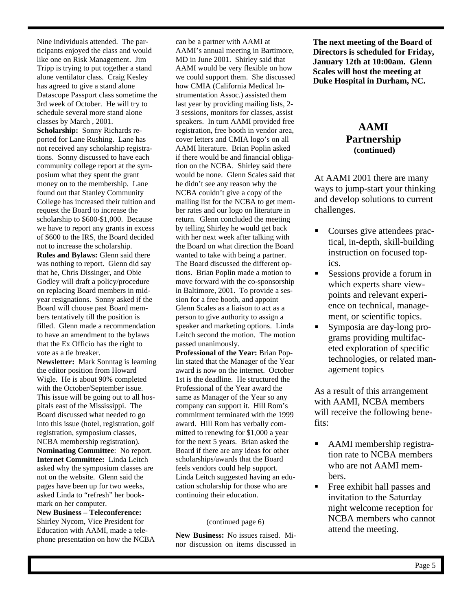Nine individuals attended. The participants enjoyed the class and would like one on Risk Management. Jim Tripp is trying to put together a stand alone ventilator class. Craig Kesley has agreed to give a stand alone Datascope Passport class sometime the 3rd week of October. He will try to schedule several more stand alone classes by March , 2001. **Scholarship:** Sonny Richards reported for Lane Rushing. Lane has not received any scholarship registrations. Sonny discussed to have each community college report at the symposium what they spent the grant money on to the membership. Lane found out that Stanley Community College has increased their tuition and request the Board to increase the scholarship to \$600-\$1,000. Because we have to report any grants in excess of \$600 to the IRS, the Board decided not to increase the scholarship. **Rules and Bylaws:** Glenn said there was nothing to report. Glenn did say that he, Chris Dissinger, and Obie Godley will draft a policy/procedure on replacing Board members in midyear resignations. Sonny asked if the Board will choose past Board members tentatively till the position is filled. Glenn made a recommendation to have an amendment to the bylaws that the Ex Officio has the right to vote as a tie breaker.

**Newsletter:** Mark Sonntag is learning the editor position from Howard Wigle. He is about 90% completed with the October/September issue. This issue will be going out to all hospitals east of the Mississippi. The Board discussed what needed to go into this issue (hotel, registration, golf registration, symposium classes, NCBA membership registration). **Nominating Committee**: No report. **Internet Committee:** Linda Leitch asked why the symposium classes are not on the website. Glenn said the pages have been up for two weeks, asked Linda to "refresh" her bookmark on her computer.

**New Business – Teleconference:**  Shirley Nycom, Vice President for Education with AAMI, made a telephone presentation on how the NCBA can be a partner with AAMI at AAMI's annual meeting in Bartimore, MD in June 2001. Shirley said that AAMI would be very flexible on how we could support them. She discussed how CMIA (California Medical Instrumentation Assoc.) assisted them last year by providing mailing lists, 2- 3 sessions, monitors for classes, assist speakers. In turn AAMI provided free registration, free booth in vendor area, cover letters and CMIA logo's on all AAMI literature. Brian Poplin asked if there would be and financial obligation on the NCBA. Shirley said there would be none. Glenn Scales said that he didn't see any reason why the NCBA couldn't give a copy of the mailing list for the NCBA to get member rates and our logo on literature in return. Glenn concluded the meeting by telling Shirley he would get back with her next week after talking with the Board on what direction the Board wanted to take with being a partner. The Board discussed the different options. Brian Poplin made a motion to move forward with the co-sponsorship in Baltimore, 2001. To provide a session for a free booth, and appoint Glenn Scales as a liaison to act as a person to give authority to assign a speaker and marketing options. Linda Leitch second the motion. The motion passed unanimously.

**Professional of the Year:** Brian Poplin stated that the Manager of the Year award is now on the internet. October 1st is the deadline. He structured the Professional of the Year award the same as Manager of the Year so any company can support it. Hill Rom's commitment terminated with the 1999 award. Hill Rom has verbally committed to renewing for \$1,000 a year for the next 5 years. Brian asked the Board if there are any ideas for other scholarships/awards that the Board feels vendors could help support. Linda Leitch suggested having an education scholarship for those who are continuing their education.

# (continued page 6)

**New Business:** No issues raised. Minor discussion on items discussed in **The next meeting of the Board of Directors is scheduled for Friday, January 12th at 10:00am. Glenn Scales will host the meeting at Duke Hospital in Durham, NC.**

# **AAMI Partnership (continued)**

At AAMI 2001 there are many ways to jump-start your thinking and develop solutions to current challenges.

- Courses give attendees practical, in-depth, skill-building instruction on focused topics.
- Sessions provide a forum in which experts share viewpoints and relevant experience on technical, management, or scientific topics.
- ß Symposia are day-long programs providing multifaceted exploration of specific technologies, or related management topics

As a result of this arrangement with AAMI, NCBA members will receive the following benefits:

- ß AAMI membership registration rate to NCBA members who are not AAMI members.
- **Free exhibit hall passes and** invitation to the Saturday night welcome reception for NCBA members who cannot attend the meeting.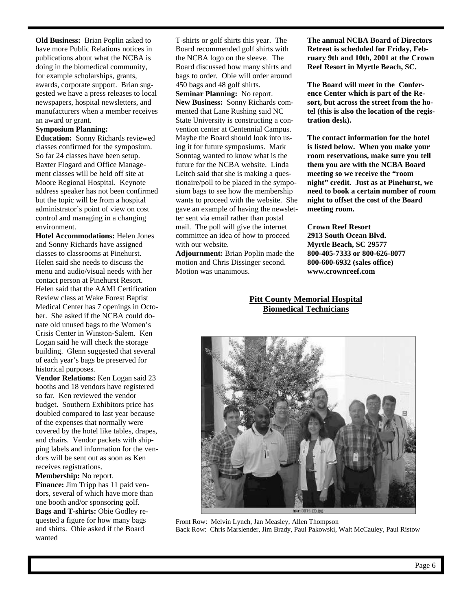**Old Business:** Brian Poplin asked to have more Public Relations notices in publications about what the NCBA is doing in the biomedical community, for example scholarships, grants, awards, corporate support. Brian suggested we have a press releases to local newspapers, hospital newsletters, and manufacturers when a member receives an award or grant.

#### **Symposium Planning:**

**Education:** Sonny Richards reviewed classes confirmed for the symposium. So far 24 classes have been setup. Baxter Flogard and Office Management classes will be held off site at Moore Regional Hospital. Keynote address speaker has not been confirmed but the topic will be from a hospital administrator's point of view on cost control and managing in a changing environment.

**Hotel Accommodations:** Helen Jones and Sonny Richards have assigned classes to classrooms at Pinehurst. Helen said she needs to discuss the menu and audio/visual needs with her contact person at Pinehurst Resort. Helen said that the AAMI Certification Review class at Wake Forest Baptist Medical Center has 7 openings in October. She asked if the NCBA could donate old unused bags to the Women's Crisis Center in Winston-Salem. Ken Logan said he will check the storage building. Glenn suggested that several of each year's bags be preserved for historical purposes.

**Vendor Relations:** Ken Logan said 23 booths and 18 vendors have registered so far. Ken reviewed the vendor budget. Southern Exhibitors price has doubled compared to last year because of the expenses that normally were covered by the hotel like tables, drapes, and chairs. Vendor packets with shipping labels and information for the vendors will be sent out as soon as Ken receives registrations.

**Membership:** No report. **Finance:** Jim Tripp has 11 paid vendors, several of which have more than one booth and/or sponsoring golf. **Bags and T-shirts:** Obie Godley requested a figure for how many bags and shirts. Obie asked if the Board wanted

T-shirts or golf shirts this year. The Board recommended golf shirts with the NCBA logo on the sleeve. The Board discussed how many shirts and bags to order. Obie will order around 450 bags and 48 golf shirts. **Seminar Planning:** No report. **New Business:** Sonny Richards commented that Lane Rushing said NC State University is constructing a convention center at Centennial Campus. Maybe the Board should look into using it for future symposiums. Mark Sonntag wanted to know what is the future for the NCBA website. Linda Leitch said that she is making a questionaire/poll to be placed in the symposium bags to see how the membership wants to proceed with the website. She gave an example of having the newsletter sent via email rather than postal mail. The poll will give the internet committee an idea of how to proceed with our website.

**Adjournment:** Brian Poplin made the motion and Chris Dissinger second. Motion was unanimous.

**The annual NCBA Board of Directors Retreat is scheduled for Friday, February 9th and 10th, 2001 at the Crown Reef Resort in Myrtle Beach, SC.**

**The Board will meet in the Conference Center which is part of the Resort, but across the street from the hotel (this is also the location of the registration desk).** 

**The contact information for the hotel is listed below. When you make your room reservations, make sure you tell them you are with the NCBA Board meeting so we receive the "room night" credit. Just as at Pinehurst, we need to book a certain number of room night to offset the cost of the Board meeting room.**

**Crown Reef Resort 2913 South Ocean Blvd. Myrtle Beach, SC 29577 800-405-7333 or 800-626-8077 800-600-6932 (sales office) www.crownreef.com**

# **Pitt County Memorial Hospital Biomedical Technicians**



Front Row: Melvin Lynch, Jan Measley, Allen Thompson Back Row: Chris Marslender, Jim Brady, Paul Pakowski, Walt McCauley, Paul Ristow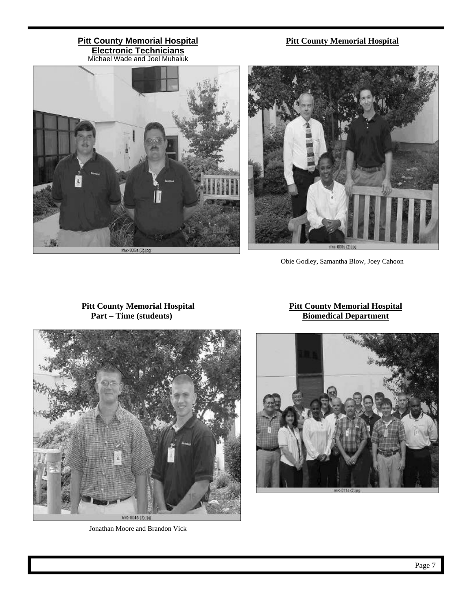# **Pitt County Memorial Hospital Electronic Technicians**

# **Pitt County Memorial Hospital**





Obie Godley, Samantha Blow, Joey Cahoon

# **Pitt County Memorial Hospital Part – Time (students)**

# **Pitt County Memorial Hospital Biomedical Department**



Jonathan Moore and Brandon Vick

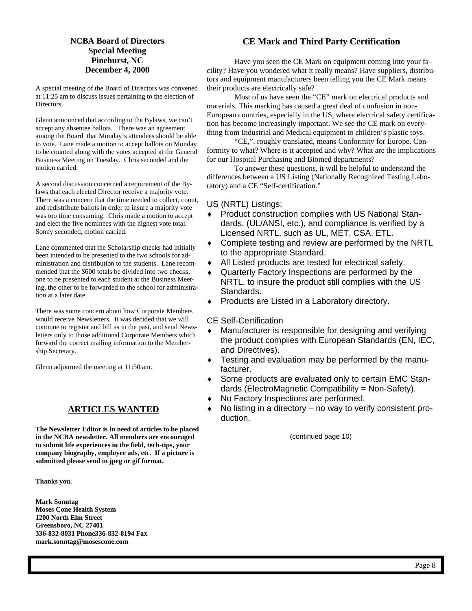# **NCBA Board of Directors Special Meeting Pinehurst, NC December 4, 2000**

A special meeting of the Board of Directors was convened at 11:25 am to discuss issues pertaining to the election of Directors.

Glenn announced that according to the Bylaws, we can't accept any absentee ballots. There was an agreement among the Board that Monday's attendees should be able to vote. Lane made a motion to accept ballots on Monday to be counted along with the votes accepted at the General Business Meeting on Tuesday. Chris seconded and the motion carried.

A second discussion concerned a requirement of the Bylaws that each elected Director receive a majority vote. There was a concern that the time needed to collect, count, and redistribute ballots in order to insure a majority vote was too time consuming. Chris made a motion to accept and elect the five nominees with the highest vote total. Sonny seconded, motion carried.

Lane commented that the Scholarship checks had initially been intended to be presented to the two schools for administration and distribution to the students. Lane recommended that the \$600 totals be divided into two checks, one to be presented to each student at the Business Meeting, the other to be forwarded to the school for administration at a later date.

There was some concern about how Corporate Members would receive Newsletters. It was decided that we will continue to register and bill as in the past, and send Newsletters only to those additional Corporate Members which forward the correct mailing information to the Membership Secretary.

Glenn adjourned the meeting at 11:50 am.

# **ARTICLES WANTED**

**The Newsletter Editor is in need of articles to be placed in the NCBA newsletter. All members are encouraged to submit life experiences in the field, tech-tips, your company biography, employee ads, etc. If a picture is submitted please send in jpeg or gif format.**

**Thanks you.**

**Mark Sonntag Moses Cone Health System 1200 North Elm Street Greensboro, NC 27401 336-832-8031 Phone336-832-8194 Fax mark.sonntag@mosescone.com**

### **CE Mark and Third Party Certification**

 Have you seen the CE Mark on equipment coming into your facility? Have you wondered what it really means? Have suppliers, distributors and equipment manufacturers been telling you the CE Mark means their products are electrically safe?

 Most of us have seen the "CE" mark on electrical products and materials. This marking has caused a great deal of confusion in non-European countries, especially in the US, where electrical safety certification has become increasingly important. We see the CE mark on everything from Industrial and Medical equipment to children's plastic toys.

 "CE,". roughly translated, means Conformity for Europe. Conformity to what? Where is it accepted and why? What are the implications for our Hospital Purchasing and Biomed departments?

 To answer these questions, it will be helpful to understand the differences between a US Listing (Nationally Recognized Testing Laboratory) and a CE "Self-certification."

#### US (NRTL) Listings:

- ♦ Product construction complies with US National Standards, (UL/ANSI, etc.), and compliance is verified by a Licensed NRTL, such as UL, MET, CSA, ETL.
- Complete testing and review are performed by the NRTL to the appropriate Standard.
- ♦ All Listed products are tested for electrical safety.
- Quarterly Factory Inspections are performed by the NRTL, to insure the product still complies with the US Standards.
- ♦ Products are Listed in a Laboratory directory.

# CE Self-Certification

- ♦ Manufacturer is responsible for designing and verifying the product complies with European Standards (EN, IEC, and Directives).
- ♦ Testing and evaluation may be performed by the manufacturer.
- ♦ Some products are evaluated only to certain EMC Standards (ElectroMagnetic Compatibility = Non-Safety).
- ♦ No Factory Inspections are performed.
- No listing in a directory no way to verify consistent production.

(continued page 10)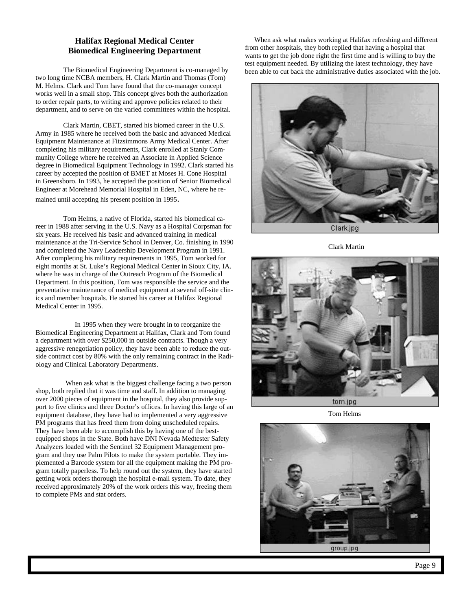## **Halifax Regional Medical Center Biomedical Engineering Department**

 The Biomedical Engineering Department is co-managed by two long time NCBA members, H. Clark Martin and Thomas (Tom) M. Helms. Clark and Tom have found that the co-manager concept works well in a small shop. This concept gives both the authorization to order repair parts, to writing and approve policies related to their department, and to serve on the varied committees within the hospital.

 Clark Martin, CBET, started his biomed career in the U.S. Army in 1985 where he received both the basic and advanced Medical Equipment Maintenance at Fitzsimmons Army Medical Center. After completing his military requirements, Clark enrolled at Stanly Community College where he received an Associate in Applied Science degree in Biomedical Equipment Technology in 1992. Clark started his career by accepted the position of BMET at Moses H. Cone Hospital in Greensboro. In 1993, he accepted the position of Senior Biomedical Engineer at Morehead Memorial Hospital in Eden, NC, where he re-

mained until accepting his present position in 1995.

 Tom Helms, a native of Florida, started his biomedical career in 1988 after serving in the U.S. Navy as a Hospital Corpsman for six years. He received his basic and advanced training in medical maintenance at the Tri-Service School in Denver, Co. finishing in 1990 and completed the Navy Leadership Development Program in 1991. After completing his military requirements in 1995, Tom worked for eight months at St. Luke's Regional Medical Center in Sioux City, IA. where he was in charge of the Outreach Program of the Biomedical Department. In this position, Tom was responsible the service and the preventative maintenance of medical equipment at several off-site clinics and member hospitals. He started his career at Halifax Regional Medical Center in 1995.

 In 1995 when they were brought in to reorganize the Biomedical Engineering Department at Halifax, Clark and Tom found a department with over \$250,000 in outside contracts. Though a very aggressive renegotiation policy, they have been able to reduce the outside contract cost by 80% with the only remaining contract in the Radiology and Clinical Laboratory Departments.

 When ask what is the biggest challenge facing a two person shop, both replied that it was time and staff. In addition to managing over 2000 pieces of equipment in the hospital, they also provide support to five clinics and three Doctor's offices. In having this large of an equipment database, they have had to implemented a very aggressive PM programs that has freed them from doing unscheduled repairs. They have been able to accomplish this by having one of the bestequipped shops in the State. Both have DNI Nevada Medtester Safety Analyzers loaded with the Sentinel 32 Equipment Management program and they use Palm Pilots to make the system portable. They implemented a Barcode system for all the equipment making the PM program totally paperless. To help round out the system, they have started getting work orders thorough the hospital e-mail system. To date, they received approximately 20% of the work orders this way, freeing them to complete PMs and stat orders.

 When ask what makes working at Halifax refreshing and different from other hospitals, they both replied that having a hospital that wants to get the job done right the first time and is willing to buy the test equipment needed. By utilizing the latest technology, they have been able to cut back the administrative duties associated with the job.



Clark Martin



Tom Helms

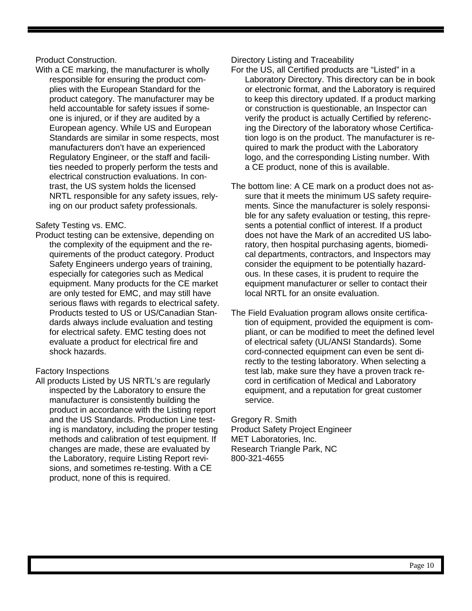# Product Construction.

With a CE marking, the manufacturer is wholly responsible for ensuring the product complies with the European Standard for the product category. The manufacturer may be held accountable for safety issues if someone is injured, or if they are audited by a European agency. While US and European Standards are similar in some respects, most manufacturers don't have an experienced Regulatory Engineer, or the staff and facilities needed to properly perform the tests and electrical construction evaluations. In contrast, the US system holds the licensed NRTL responsible for any safety issues, relying on our product safety professionals.

# Safety Testing vs. EMC.

Product testing can be extensive, depending on the complexity of the equipment and the requirements of the product category. Product Safety Engineers undergo years of training, especially for categories such as Medical equipment. Many products for the CE market are only tested for EMC, and may still have serious flaws with regards to electrical safety. Products tested to US or US/Canadian Standards always include evaluation and testing for electrical safety. EMC testing does not evaluate a product for electrical fire and shock hazards.

# Factory Inspections

All products Listed by US NRTL's are regularly inspected by the Laboratory to ensure the manufacturer is consistently building the product in accordance with the Listing report and the US Standards. Production Line testing is mandatory, including the proper testing methods and calibration of test equipment. If changes are made, these are evaluated by the Laboratory, require Listing Report revisions, and sometimes re-testing. With a CE product, none of this is required.

# Directory Listing and Traceability

- For the US, all Certified products are "Listed" in a Laboratory Directory. This directory can be in book or electronic format, and the Laboratory is required to keep this directory updated. If a product marking or construction is questionable, an Inspector can verify the product is actually Certified by referencing the Directory of the laboratory whose Certification logo is on the product. The manufacturer is required to mark the product with the Laboratory logo, and the corresponding Listing number. With a CE product, none of this is available.
- The bottom line: A CE mark on a product does not assure that it meets the minimum US safety requirements. Since the manufacturer is solely responsible for any safety evaluation or testing, this represents a potential conflict of interest. If a product does not have the Mark of an accredited US laboratory, then hospital purchasing agents, biomedical departments, contractors, and Inspectors may consider the equipment to be potentially hazardous. In these cases, it is prudent to require the equipment manufacturer or seller to contact their local NRTL for an onsite evaluation.
- The Field Evaluation program allows onsite certification of equipment, provided the equipment is compliant, or can be modified to meet the defined level of electrical safety (UL/ANSI Standards). Some cord-connected equipment can even be sent directly to the testing laboratory. When selecting a test lab, make sure they have a proven track record in certification of Medical and Laboratory equipment, and a reputation for great customer service.

Gregory R. Smith Product Safety Project Engineer MET Laboratories, Inc. Research Triangle Park, NC 800-321-4655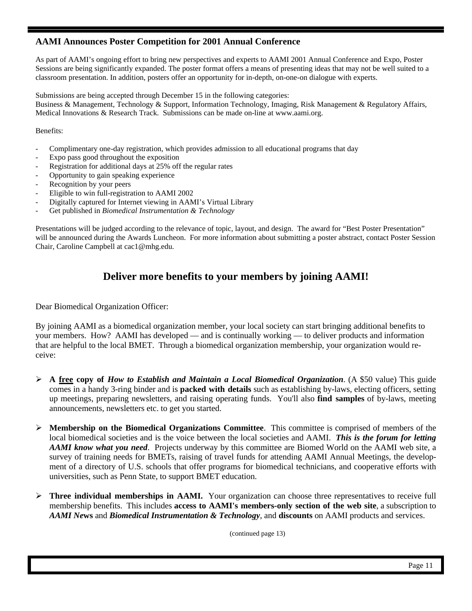# **AAMI Announces Poster Competition for 2001 Annual Conference**

As part of AAMI's ongoing effort to bring new perspectives and experts to AAMI 2001 Annual Conference and Expo, Poster Sessions are being significantly expanded. The poster format offers a means of presenting ideas that may not be well suited to a classroom presentation. In addition, posters offer an opportunity for in-depth, on-one-on dialogue with experts.

Submissions are being accepted through December 15 in the following categories:

Business & Management, Technology & Support, Information Technology, Imaging, Risk Management & Regulatory Affairs, Medical Innovations & Research Track. Submissions can be made on-line at www.aami.org.

Benefits:

- Complimentary one-day registration, which provides admission to all educational programs that day
- Expo pass good throughout the exposition
- Registration for additional days at 25% off the regular rates
- Opportunity to gain speaking experience
- Recognition by your peers
- Eligible to win full-registration to AAMI 2002
- Digitally captured for Internet viewing in AAMI's Virtual Library
- Get published in *Biomedical Instrumentation & Technology*

Presentations will be judged according to the relevance of topic, layout, and design. The award for "Best Poster Presentation" will be announced during the Awards Luncheon. For more information about submitting a poster abstract, contact Poster Session Chair, Caroline Campbell at cac1@mhg.edu.

# **Deliver more benefits to your members by joining AAMI!**

Dear Biomedical Organization Officer:

By joining AAMI as a biomedical organization member, your local society can start bringing additional benefits to your members. How? AAMI has developed — and is continually working — to deliver products and information that are helpful to the local BMET. Through a biomedical organization membership, your organization would receive:

- ÿ **A free copy of** *How to Establish and Maintain a Local Biomedical Organization*. (A \$50 value) This guide comes in a handy 3-ring binder and is **packed with details** such as establishing by-laws, electing officers, setting up meetings, preparing newsletters, and raising operating funds. You'll also **find samples** of by-laws, meeting announcements, newsletters etc. to get you started.
- ÿ **Membership on the Biomedical Organizations Committee**. This committee is comprised of members of the local biomedical societies and is the voice between the local societies and AAMI. *This is the forum for letting AAMI know what you need*. Projects underway by this committee are Biomed World on the AAMI web site, a survey of training needs for BMETs, raising of travel funds for attending AAMI Annual Meetings, the development of a directory of U.S. schools that offer programs for biomedical technicians, and cooperative efforts with universities, such as Penn State, to support BMET education.
- ÿ **Three individual memberships in AAMI.** Your organization can choose three representatives to receive full membership benefits. This includes **access to AAMI's members-only section of the web site**, a subscription to *AAMI Ne***ws** and *Biomedical Instrumentation & Technology*, and **discounts** on AAMI products and services.

(continued page 13)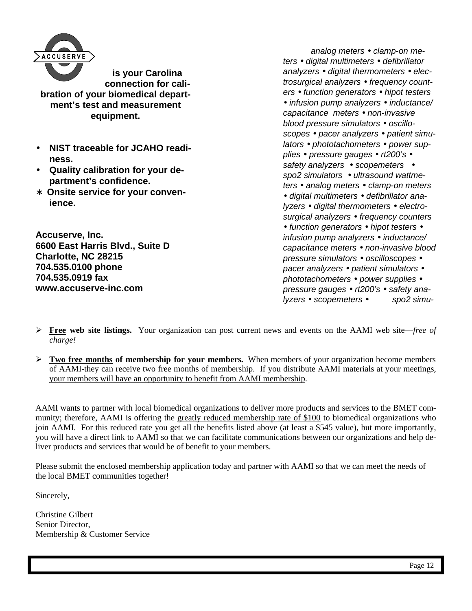

**is your Carolina connection for calibration of your biomedical department's test and measurement equipment.**

- **NIST traceable for JCAHO readiness.**
- **Quality calibration for your department's confidence.**
- ∗ **Onsite service for your convenience.**

**Accuserve, Inc. 6600 East Harris Blvd., Suite D Charlotte, NC 28215 704.535.0100 phone 704.535.0919 fax www.accuserve-inc.com**

 *analog meters · clamp-on meters · digital multimeters · defibrillator analyzers · digital thermometers · electrosurgical analyzers · frequency counters · function generators · hipot testers · infusion pump analyzers · inductance/ capacitance meters · non-invasive blood pressure simulators · oscilloscopes · pacer analyzers · patient simulators · phototachometers · power supplies · pressure gauges · rt200's · safety analyzers · scopemeters · spo2 simulators · ultrasound wattmeters · analog meters · clamp-on meters · digital multimeters · defibrillator analyzers · digital thermometers · electrosurgical analyzers · frequency counters · function generators · hipot testers · infusion pump analyzers · inductance/ capacitance meters · non-invasive blood pressure simulators · oscilloscopes · pacer analyzers · patient simulators · phototachometers · power supplies · pressure gauges · rt200's · safety analyzers · scopemeters · spo2 simu-*

- ÿ **Free web site listings.** Your organization can post current news and events on the AAMI web site—*free of charge!*
- $\triangleright$  **Two free months of membership for your members.** When members of your organization become members of AAMI-they can receive two free months of membership. If you distribute AAMI materials at your meetings, your members will have an opportunity to benefit from AAMI membership.

AAMI wants to partner with local biomedical organizations to deliver more products and services to the BMET community; therefore, AAMI is offering the greatly reduced membership rate of \$100 to biomedical organizations who join AAMI. For this reduced rate you get all the benefits listed above (at least a \$545 value), but more importantly, you will have a direct link to AAMI so that we can facilitate communications between our organizations and help deliver products and services that would be of benefit to your members.

Please submit the enclosed membership application today and partner with AAMI so that we can meet the needs of the local BMET communities together!

Sincerely,

Christine Gilbert Senior Director, Membership & Customer Service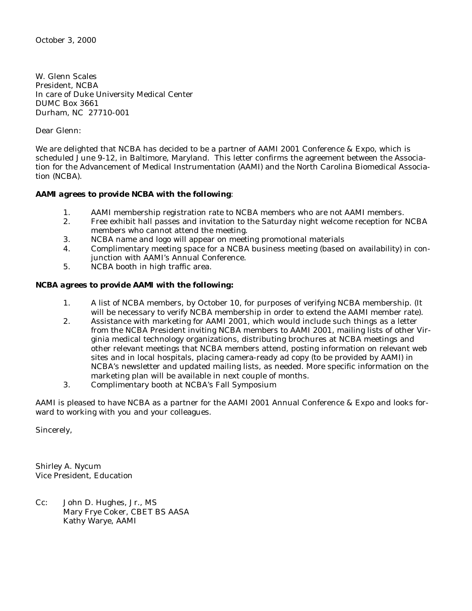October 3, 2000

W. Glenn Scales President, NCBA In care of Duke University Medical Center DUMC Box 3661 Durham, NC 27710-001

Dear Glenn:

We are delighted that NCBA has decided to be a partner of AAMI 2001 Conference & Expo, which is scheduled June 9-12, in Baltimore, Maryland. This letter confirms the agreement between the Association for the Advancement of Medical Instrumentation (AAMI) and the North Carolina Biomedical Association (NCBA).

# *AAMI agrees to provide NCBA with the following*:

- 1. AAMI membership registration rate to NCBA members who are not AAMI members.
- 2. Free exhibit hall passes and invitation to the Saturday night welcome reception for NCBA members who cannot attend the meeting.
- 3. NCBA name and logo will appear on meeting promotional materials
- 4. Complimentary meeting space for a NCBA business meeting (based on availability) in conjunction with AAMI's Annual Conference.
- 5. NCBA booth in high traffic area.

# *NCBA agrees to provide AAMI with the following:*

- 1. A list of NCBA members, by October 10, for purposes of verifying NCBA membership. (It will be necessary to verify NCBA membership in order to extend the AAMI member rate).
- 2. Assistance with marketing for AAMI 2001, which would include such things as a letter from the NCBA President inviting NCBA members to AAMI 2001, mailing lists of other Virginia medical technology organizations, distributing brochures at NCBA meetings and other relevant meetings that NCBA members attend, posting information on relevant web sites and in local hospitals, placing camera-ready ad copy (to be provided by AAMI) in NCBA's newsletter and updated mailing lists, as needed. More specific information on the marketing plan will be available in next couple of months.
- 3. Complimentary booth at NCBA's Fall Symposium

AAMI is pleased to have NCBA as a partner for the AAMI 2001 Annual Conference & Expo and looks forward to working with you and your colleagues.

Sincerely,

Shirley A. Nycum Vice President, Education

Cc: John D. Hughes, Jr., MS Mary Frye Coker, CBET BS AASA Kathy Warye, AAMI